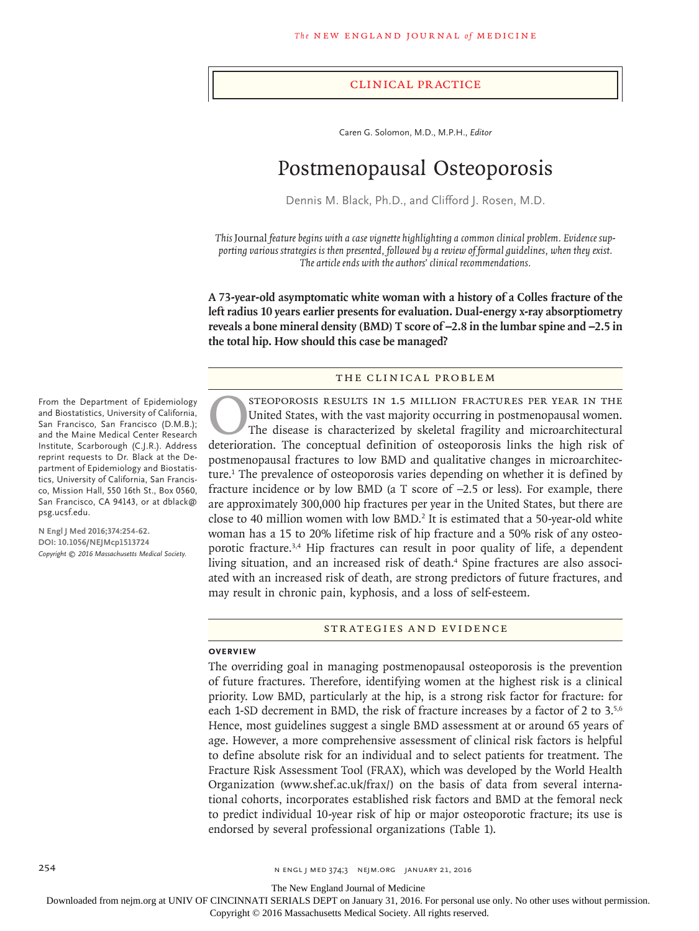## Clinical Practice

Caren G. Solomon, M.D., M.P.H., *Editor*

# Postmenopausal Osteoporosis

Dennis M. Black, Ph.D., and Clifford J. Rosen, M.D.

*This* Journal *feature begins with a case vignette highlighting a common clinical problem. Evidence supporting various strategies is then presented, followed by a review of formal guidelines, when they exist. The article ends with the authors' clinical recommendations.*

**A 73-year-old asymptomatic white woman with a history of a Colles fracture of the left radius 10 years earlier presents for evaluation. Dual-energy x-ray absorptiometry reveals a bone mineral density (BMD) T score of −2.8 in the lumbar spine and −2.5 in the total hip. How should this case be managed?**

# The Clinical Problem

STEOPOROSIS RESULTS IN 1.5 MILLION FRACTURES PER YEAR IN THE United States, with the vast majority occurring in postmenopausal women.<br>The disease is characterized by skeletal fragility and microarchitectural deterioration. United States, with the vast majority occurring in postmenopausal women. The disease is characterized by skeletal fragility and microarchitectural deterioration. The conceptual definition of osteoporosis links the high risk of postmenopausal fractures to low BMD and qualitative changes in microarchitecture.<sup>1</sup> The prevalence of osteoporosis varies depending on whether it is defined by fracture incidence or by low BMD (a T score of −2.5 or less). For example, there are approximately 300,000 hip fractures per year in the United States, but there are close to 40 million women with low  $BMD<sup>2</sup>$  It is estimated that a 50-year-old white woman has a 15 to 20% lifetime risk of hip fracture and a 50% risk of any osteoporotic fracture.3,4 Hip fractures can result in poor quality of life, a dependent living situation, and an increased risk of death.<sup>4</sup> Spine fractures are also associated with an increased risk of death, are strong predictors of future fractures, and may result in chronic pain, kyphosis, and a loss of self-esteem.

## Strategies and Evidence

#### **Overview**

The overriding goal in managing postmenopausal osteoporosis is the prevention of future fractures. Therefore, identifying women at the highest risk is a clinical priority. Low BMD, particularly at the hip, is a strong risk factor for fracture: for each 1-SD decrement in BMD, the risk of fracture increases by a factor of 2 to 3.<sup>5,6</sup> Hence, most guidelines suggest a single BMD assessment at or around 65 years of age. However, a more comprehensive assessment of clinical risk factors is helpful to define absolute risk for an individual and to select patients for treatment. The Fracture Risk Assessment Tool (FRAX), which was developed by the World Health Organization (www.shef.ac.uk/frax/) on the basis of data from several international cohorts, incorporates established risk factors and BMD at the femoral neck to predict individual 10-year risk of hip or major osteoporotic fracture; its use is endorsed by several professional organizations (Table 1).

From the Department of Epidemiology and Biostatistics, University of California, San Francisco, San Francisco (D.M.B.); and the Maine Medical Center Research Institute, Scarborough (C.J.R.). Address reprint requests to Dr. Black at the Department of Epidemiology and Biostatistics, University of California, San Francisco, Mission Hall, 550 16th St., Box 0560, San Francisco, CA 94143, or at dblack@ psg.ucsf.edu.

**N Engl J Med 2016;374:254-62. DOI: 10.1056/NEJMcp1513724** *Copyright © 2016 Massachusetts Medical Society.*

254 n engl j med 374;3 nejm.org January 21, 2016

The New England Journal of Medicine

Downloaded from nejm.org at UNIV OF CINCINNATI SERIALS DEPT on January 31, 2016. For personal use only. No other uses without permission.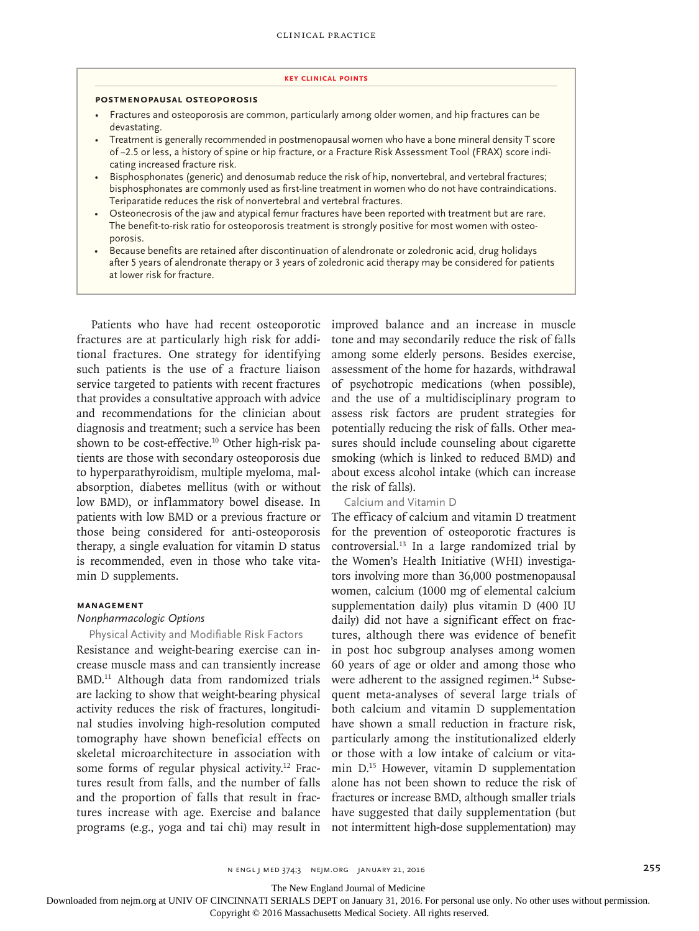#### **Key Clinical Points**

## **Postmenopausal Osteoporosis**

- Fractures and osteoporosis are common, particularly among older women, and hip fractures can be devastating.
- Treatment is generally recommended in postmenopausal women who have a bone mineral density T score of −2.5 or less, a history of spine or hip fracture, or a Fracture Risk Assessment Tool (FRAX) score indicating increased fracture risk.
- Bisphosphonates (generic) and denosumab reduce the risk of hip, nonvertebral, and vertebral fractures; bisphosphonates are commonly used as first-line treatment in women who do not have contraindications. Teriparatide reduces the risk of nonvertebral and vertebral fractures.
- Osteonecrosis of the jaw and atypical femur fractures have been reported with treatment but are rare. The benefit-to-risk ratio for osteoporosis treatment is strongly positive for most women with osteoporosis.
- Because benefits are retained after discontinuation of alendronate or zoledronic acid, drug holidays after 5 years of alendronate therapy or 3 years of zoledronic acid therapy may be considered for patients at lower risk for fracture.

Patients who have had recent osteoporotic fractures are at particularly high risk for additional fractures. One strategy for identifying such patients is the use of a fracture liaison service targeted to patients with recent fractures that provides a consultative approach with advice and recommendations for the clinician about diagnosis and treatment; such a service has been shown to be cost-effective.<sup>10</sup> Other high-risk patients are those with secondary osteoporosis due to hyperparathyroidism, multiple myeloma, malabsorption, diabetes mellitus (with or without low BMD), or inflammatory bowel disease. In patients with low BMD or a previous fracture or those being considered for anti-osteoporosis therapy, a single evaluation for vitamin D status is recommended, even in those who take vitamin D supplements.

## **Management**

# *Nonpharmacologic Options*

Physical Activity and Modifiable Risk Factors

Resistance and weight-bearing exercise can increase muscle mass and can transiently increase BMD.<sup>11</sup> Although data from randomized trials are lacking to show that weight-bearing physical activity reduces the risk of fractures, longitudinal studies involving high-resolution computed tomography have shown beneficial effects on skeletal microarchitecture in association with some forms of regular physical activity.<sup>12</sup> Fractures result from falls, and the number of falls and the proportion of falls that result in fractures increase with age. Exercise and balance programs (e.g., yoga and tai chi) may result in not intermittent high-dose supplementation) may

improved balance and an increase in muscle tone and may secondarily reduce the risk of falls among some elderly persons. Besides exercise, assessment of the home for hazards, withdrawal of psychotropic medications (when possible), and the use of a multidisciplinary program to assess risk factors are prudent strategies for potentially reducing the risk of falls. Other measures should include counseling about cigarette smoking (which is linked to reduced BMD) and about excess alcohol intake (which can increase the risk of falls).

# Calcium and Vitamin D

The efficacy of calcium and vitamin D treatment for the prevention of osteoporotic fractures is controversial.13 In a large randomized trial by the Women's Health Initiative (WHI) investigators involving more than 36,000 postmenopausal women, calcium (1000 mg of elemental calcium supplementation daily) plus vitamin D (400 IU daily) did not have a significant effect on fractures, although there was evidence of benefit in post hoc subgroup analyses among women 60 years of age or older and among those who were adherent to the assigned regimen.<sup>14</sup> Subsequent meta-analyses of several large trials of both calcium and vitamin D supplementation have shown a small reduction in fracture risk, particularly among the institutionalized elderly or those with a low intake of calcium or vitamin D.15 However, vitamin D supplementation alone has not been shown to reduce the risk of fractures or increase BMD, although smaller trials have suggested that daily supplementation (but

The New England Journal of Medicine

Downloaded from nejm.org at UNIV OF CINCINNATI SERIALS DEPT on January 31, 2016. For personal use only. No other uses without permission.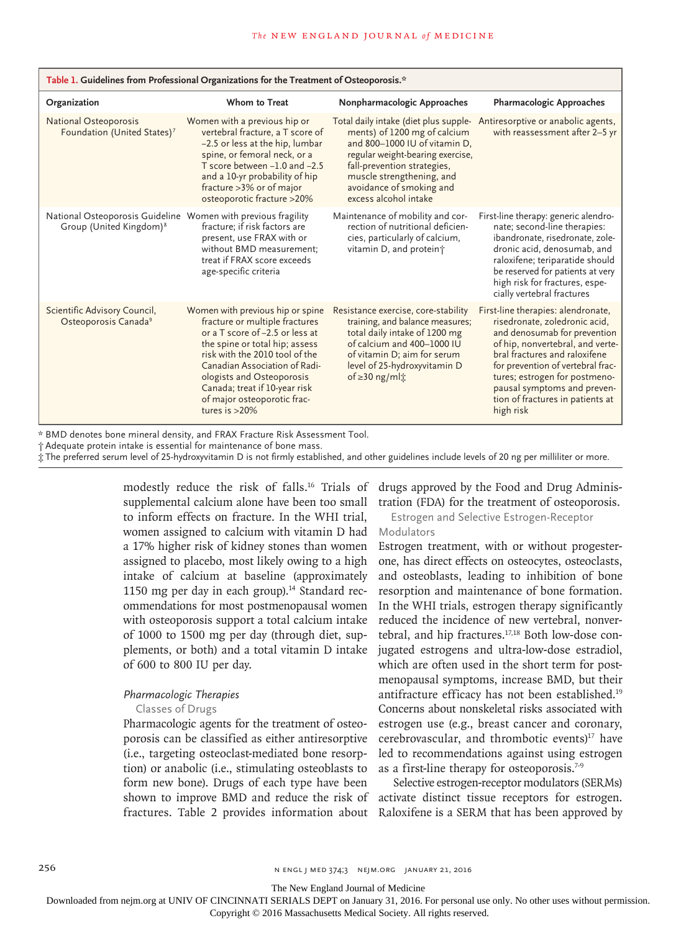| Table 1. Guidelines from Professional Organizations for the Treatment of Osteoporosis.*              |                                                                                                                                                                                                                                                                                                                             |                                                                                                                                                                                                                                                             |                                                                                                                                                                                                                                                                                                                                |  |  |  |
|------------------------------------------------------------------------------------------------------|-----------------------------------------------------------------------------------------------------------------------------------------------------------------------------------------------------------------------------------------------------------------------------------------------------------------------------|-------------------------------------------------------------------------------------------------------------------------------------------------------------------------------------------------------------------------------------------------------------|--------------------------------------------------------------------------------------------------------------------------------------------------------------------------------------------------------------------------------------------------------------------------------------------------------------------------------|--|--|--|
| Organization                                                                                         | Whom to Treat                                                                                                                                                                                                                                                                                                               | Nonpharmacologic Approaches                                                                                                                                                                                                                                 | <b>Pharmacologic Approaches</b>                                                                                                                                                                                                                                                                                                |  |  |  |
| National Osteoporosis<br>Foundation (United States) <sup>7</sup>                                     | Women with a previous hip or<br>vertebral fracture, a T score of<br>-2.5 or less at the hip, lumbar<br>spine, or femoral neck, or a<br>T score between -1.0 and -2.5<br>and a 10-yr probability of hip<br>fracture > 3% or of major<br>osteoporotic fracture >20%                                                           | Total daily intake (diet plus supple-<br>ments) of 1200 mg of calcium<br>and 800-1000 IU of vitamin D,<br>regular weight-bearing exercise,<br>fall-prevention strategies,<br>muscle strengthening, and<br>avoidance of smoking and<br>excess alcohol intake | Antiresorptive or anabolic agents,<br>with reassessment after 2-5 yr                                                                                                                                                                                                                                                           |  |  |  |
| National Osteoporosis Guideline Women with previous fragility<br>Group (United Kingdom) <sup>8</sup> | fracture; if risk factors are<br>present, use FRAX with or<br>without BMD measurement;<br>treat if FRAX score exceeds<br>age-specific criteria                                                                                                                                                                              | Maintenance of mobility and cor-<br>rection of nutritional deficien-<br>cies, particularly of calcium,<br>vitamin D, and protein <sup>+</sup>                                                                                                               | First-line therapy: generic alendro-<br>nate; second-line therapies:<br>ibandronate, risedronate, zole-<br>dronic acid, denosumab, and<br>raloxifene; teriparatide should<br>be reserved for patients at very<br>high risk for fractures, espe-<br>cially vertebral fractures                                                  |  |  |  |
| Scientific Advisory Council,<br>Osteoporosis Canada <sup>9</sup>                                     | Women with previous hip or spine<br>fracture or multiple fractures<br>or a T score of -2.5 or less at<br>the spine or total hip; assess<br>risk with the 2010 tool of the<br>Canadian Association of Radi-<br>ologists and Osteoporosis<br>Canada; treat if 10-year risk<br>of major osteoporotic frac-<br>tures is $>20\%$ | Resistance exercise, core-stability<br>training, and balance measures;<br>total daily intake of 1200 mg<br>of calcium and 400-1000 IU<br>of vitamin D; aim for serum<br>level of 25-hydroxyvitamin D<br>of $\geq$ 30 ng/ml $\ddot{x}$                       | First-line therapies: alendronate,<br>risedronate, zoledronic acid,<br>and denosumab for prevention<br>of hip, nonvertebral, and verte-<br>bral fractures and raloxifene<br>for prevention of vertebral frac-<br>tures; estrogen for postmeno-<br>pausal symptoms and preven-<br>tion of fractures in patients at<br>high risk |  |  |  |

\* BMD denotes bone mineral density, and FRAX Fracture Risk Assessment Tool.

† Adequate protein intake is essential for maintenance of bone mass.

‡ The preferred serum level of 25-hydroxyvitamin D is not firmly established, and other guidelines include levels of 20 ng per milliliter or more.

supplemental calcium alone have been too small to inform effects on fracture. In the WHI trial, women assigned to calcium with vitamin D had a 17% higher risk of kidney stones than women assigned to placebo, most likely owing to a high intake of calcium at baseline (approximately 1150 mg per day in each group). $14$  Standard recommendations for most postmenopausal women with osteoporosis support a total calcium intake of 1000 to 1500 mg per day (through diet, supplements, or both) and a total vitamin D intake of 600 to 800 IU per day.

# *Pharmacologic Therapies*

# Classes of Drugs

Pharmacologic agents for the treatment of osteoporosis can be classified as either antiresorptive (i.e., targeting osteoclast-mediated bone resorption) or anabolic (i.e., stimulating osteoblasts to form new bone). Drugs of each type have been shown to improve BMD and reduce the risk of fractures. Table 2 provides information about

modestly reduce the risk of falls.<sup>16</sup> Trials of drugs approved by the Food and Drug Administration (FDA) for the treatment of osteoporosis.

> Estrogen and Selective Estrogen-Receptor Modulators

Estrogen treatment, with or without progesterone, has direct effects on osteocytes, osteoclasts, and osteoblasts, leading to inhibition of bone resorption and maintenance of bone formation. In the WHI trials, estrogen therapy significantly reduced the incidence of new vertebral, nonvertebral, and hip fractures.17,18 Both low-dose conjugated estrogens and ultra-low-dose estradiol, which are often used in the short term for postmenopausal symptoms, increase BMD, but their antifracture efficacy has not been established.19 Concerns about nonskeletal risks associated with estrogen use (e.g., breast cancer and coronary, cerebrovascular, and thrombotic events)<sup>17</sup> have led to recommendations against using estrogen as a first-line therapy for osteoporosis.<sup>7-9</sup>

Selective estrogen-receptor modulators (SERMs) activate distinct tissue receptors for estrogen. Raloxifene is a SERM that has been approved by

The New England Journal of Medicine

Downloaded from nejm.org at UNIV OF CINCINNATI SERIALS DEPT on January 31, 2016. For personal use only. No other uses without permission.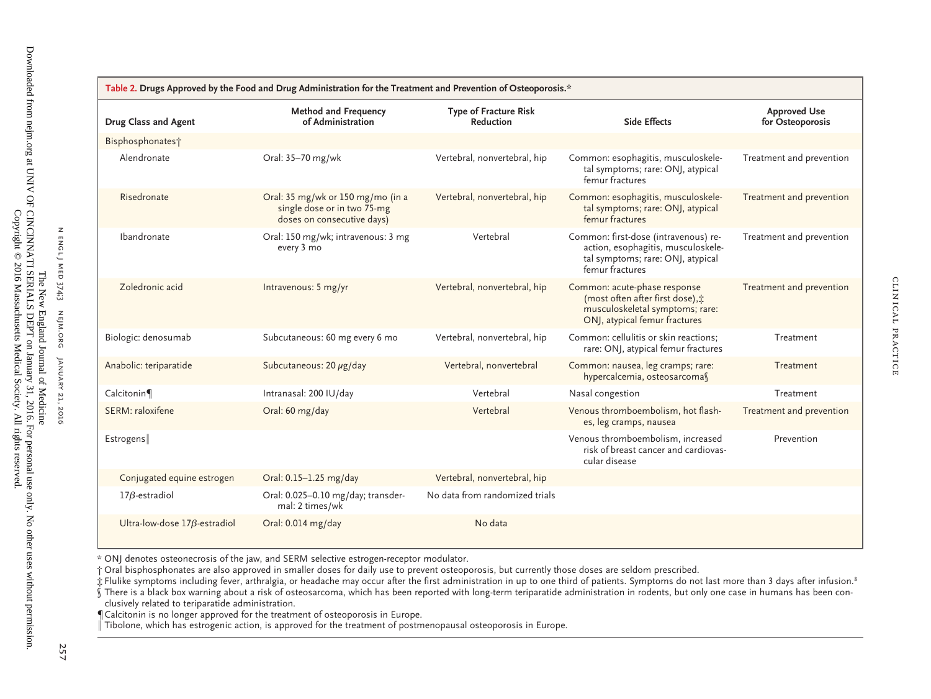| Table 2. Drugs Approved by the Food and Drug Administration for the Treatment and Prevention of Osteoporosis.* |                                                                                                |                                           |                                                                                                                                      |                                         |  |  |
|----------------------------------------------------------------------------------------------------------------|------------------------------------------------------------------------------------------------|-------------------------------------------|--------------------------------------------------------------------------------------------------------------------------------------|-----------------------------------------|--|--|
| Drug Class and Agent                                                                                           | <b>Method and Frequency</b><br>of Administration                                               | <b>Type of Fracture Risk</b><br>Reduction | <b>Side Effects</b>                                                                                                                  | <b>Approved Use</b><br>for Osteoporosis |  |  |
| Bisphosphonates <sup>+</sup>                                                                                   |                                                                                                |                                           |                                                                                                                                      |                                         |  |  |
| Alendronate                                                                                                    | Oral: 35-70 mg/wk                                                                              | Vertebral, nonvertebral, hip              | Common: esophagitis, musculoskele-<br>tal symptoms; rare: ONJ, atypical<br>femur fractures                                           | Treatment and prevention                |  |  |
| Risedronate                                                                                                    | Oral: 35 mg/wk or 150 mg/mo (in a<br>single dose or in two 75-mg<br>doses on consecutive days) | Vertebral, nonvertebral, hip              | Common: esophagitis, musculoskele-<br>tal symptoms; rare: ONJ, atypical<br>femur fractures                                           | Treatment and prevention                |  |  |
| Ibandronate                                                                                                    | Oral: 150 mg/wk; intravenous: 3 mg<br>every 3 mo                                               | Vertebral                                 | Common: first-dose (intravenous) re-<br>action, esophagitis, musculoskele-<br>tal symptoms; rare: ONJ, atypical<br>femur fractures   | Treatment and prevention                |  |  |
| Zoledronic acid                                                                                                | Intravenous: 5 mg/yr                                                                           | Vertebral, nonvertebral, hip              | Common: acute-phase response<br>(most often after first dose), :<br>musculoskeletal symptoms; rare:<br>ONJ, atypical femur fractures | Treatment and prevention                |  |  |
| Biologic: denosumab                                                                                            | Subcutaneous: 60 mg every 6 mo                                                                 | Vertebral, nonvertebral, hip              | Common: cellulitis or skin reactions:<br>rare: ONJ, atypical femur fractures                                                         | Treatment                               |  |  |
| Anabolic: teriparatide                                                                                         | Subcutaneous: 20 µg/day                                                                        | Vertebral, nonvertebral                   | Common: nausea, leg cramps; rare:<br>hypercalcemia, osteosarcomas                                                                    | Treatment                               |  |  |
| Calcitonin                                                                                                     | Intranasal: 200 IU/day                                                                         | Vertebral                                 | Nasal congestion                                                                                                                     | Treatment                               |  |  |
| SERM: raloxifene                                                                                               | Oral: 60 mg/day                                                                                | Vertebral                                 | Venous thromboembolism, hot flash-<br>es, leg cramps, nausea                                                                         | Treatment and prevention                |  |  |
| Estrogens                                                                                                      |                                                                                                |                                           | Venous thromboembolism, increased<br>risk of breast cancer and cardiovas-<br>cular disease                                           | Prevention                              |  |  |
| Conjugated equine estrogen                                                                                     | Oral: 0.15-1.25 mg/day                                                                         | Vertebral, nonvertebral, hip              |                                                                                                                                      |                                         |  |  |
| $17\beta$ -estradiol                                                                                           | Oral: 0.025-0.10 mg/day; transder-<br>mal: 2 times/wk                                          | No data from randomized trials            |                                                                                                                                      |                                         |  |  |
| Ultra-low-dose $17\beta$ -estradiol                                                                            | Oral: 0.014 mg/day                                                                             | No data                                   |                                                                                                                                      |                                         |  |  |

\* ONJ denotes osteonecrosis of the jaw, and SERM selective estrogen-receptor modulator.

† Oral bisphosphonates are also approved in smaller doses for daily use to preven<sup>t</sup> osteoporosis, but currently those doses are seldom prescribed.

 $\dot{\tau}$  Flulike symptoms including fever, arthralgia, or headache may occur after the first administration in up to one third of patients. Symptoms do not last more than 3 days after infusion.<sup>8</sup>

§ There is <sup>a</sup> black box warning about <sup>a</sup> risk of osteosarcoma, which has been reported with long-term teriparatide administration in rodents, but only one case in humans has been conclusively related to teriparatide administration.

¶Calcitonin is no longer approved for the treatment of osteoporosis in Europe.

.<br>Tibolone, which has estrogenic action, is approved for the treatment of postmenopausal osteoporosis in Europe.

n engl j medENGL J MED 374;3

 $\mathsf{z}$ 

nejm.org

January 21, 2016

JANUARY 21, 2016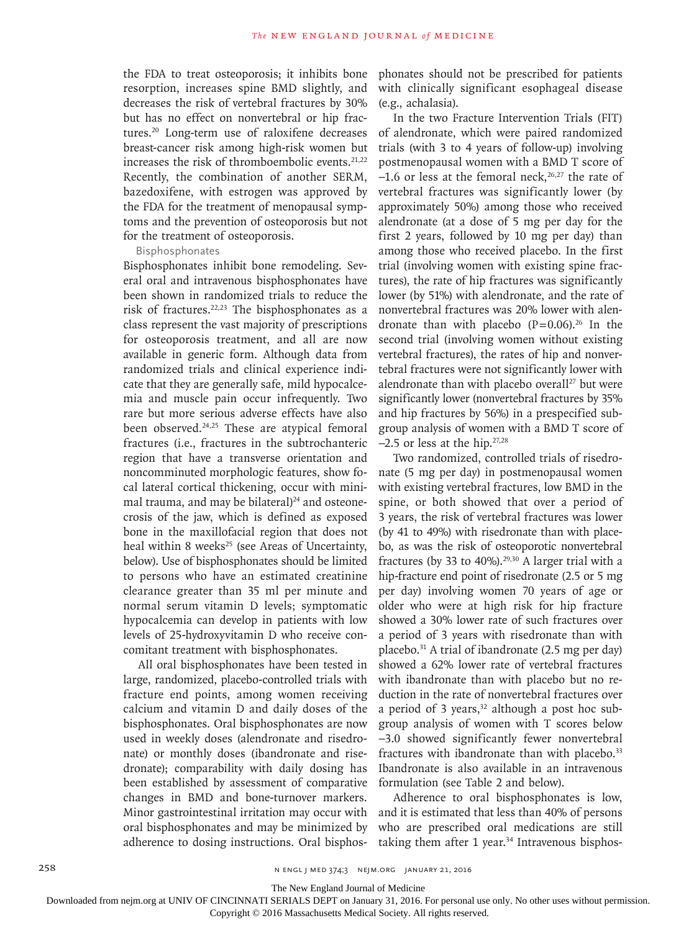the FDA to treat osteoporosis; it inhibits bone resorption, increases spine BMD slightly, and decreases the risk of vertebral fractures by 30% but has no effect on nonvertebral or hip fractures.20 Long-term use of raloxifene decreases breast-cancer risk among high-risk women but increases the risk of thromboembolic events.<sup>21,22</sup> Recently, the combination of another SERM, bazedoxifene, with estrogen was approved by the FDA for the treatment of menopausal symptoms and the prevention of osteoporosis but not for the treatment of osteoporosis.

## Bisphosphonates

Bisphosphonates inhibit bone remodeling. Several oral and intravenous bisphosphonates have been shown in randomized trials to reduce the risk of fractures.<sup>22,23</sup> The bisphosphonates as a class represent the vast majority of prescriptions for osteoporosis treatment, and all are now available in generic form. Although data from randomized trials and clinical experience indicate that they are generally safe, mild hypocalcemia and muscle pain occur infrequently. Two rare but more serious adverse effects have also been observed.<sup>24,25</sup> These are atypical femoral fractures (i.e., fractures in the subtrochanteric region that have a transverse orientation and noncomminuted morphologic features, show focal lateral cortical thickening, occur with minimal trauma, and may be bilateral) $24$  and osteonecrosis of the jaw, which is defined as exposed bone in the maxillofacial region that does not heal within 8 weeks<sup>25</sup> (see Areas of Uncertainty, below). Use of bisphosphonates should be limited to persons who have an estimated creatinine clearance greater than 35 ml per minute and normal serum vitamin D levels; symptomatic hypocalcemia can develop in patients with low levels of 25-hydroxyvitamin D who receive concomitant treatment with bisphosphonates.

All oral bisphosphonates have been tested in large, randomized, placebo-controlled trials with fracture end points, among women receiving calcium and vitamin D and daily doses of the bisphosphonates. Oral bisphosphonates are now used in weekly doses (alendronate and risedronate) or monthly doses (ibandronate and risedronate); comparability with daily dosing has been established by assessment of comparative changes in BMD and bone-turnover markers. Minor gastrointestinal irritation may occur with oral bisphosphonates and may be minimized by adherence to dosing instructions. Oral bisphosphonates should not be prescribed for patients with clinically significant esophageal disease (e.g., achalasia).

In the two Fracture Intervention Trials (FIT) of alendronate, which were paired randomized trials (with 3 to 4 years of follow-up) involving postmenopausal women with a BMD T score of  $-1.6$  or less at the femoral neck,<sup>26,27</sup> the rate of vertebral fractures was significantly lower (by approximately 50%) among those who received alendronate (at a dose of 5 mg per day for the first 2 years, followed by 10 mg per day) than among those who received placebo. In the first trial (involving women with existing spine fractures), the rate of hip fractures was significantly lower (by 51%) with alendronate, and the rate of nonvertebral fractures was 20% lower with alendronate than with placebo  $(P=0.06)$ .<sup>26</sup> In the second trial (involving women without existing vertebral fractures), the rates of hip and nonvertebral fractures were not significantly lower with alendronate than with placebo overall<sup>27</sup> but were significantly lower (nonvertebral fractures by 35% and hip fractures by 56%) in a prespecified subgroup analysis of women with a BMD T score of −2.5 or less at the hip.27,28

Two randomized, controlled trials of risedronate (5 mg per day) in postmenopausal women with existing vertebral fractures, low BMD in the spine, or both showed that over a period of 3 years, the risk of vertebral fractures was lower (by 41 to 49%) with risedronate than with placebo, as was the risk of osteoporotic nonvertebral fractures (by 33 to 40%).<sup>29,30</sup> A larger trial with a hip-fracture end point of risedronate (2.5 or 5 mg per day) involving women 70 years of age or older who were at high risk for hip fracture showed a 30% lower rate of such fractures over a period of 3 years with risedronate than with placebo. $31$  A trial of ibandronate (2.5 mg per day) showed a 62% lower rate of vertebral fractures with ibandronate than with placebo but no reduction in the rate of nonvertebral fractures over a period of 3 years,<sup>32</sup> although a post hoc subgroup analysis of women with T scores below −3.0 showed significantly fewer nonvertebral fractures with ibandronate than with placebo.<sup>33</sup> Ibandronate is also available in an intravenous formulation (see Table 2 and below).

Adherence to oral bisphosphonates is low, and it is estimated that less than 40% of persons who are prescribed oral medications are still taking them after 1 year. $34$  Intravenous bisphos-

The New England Journal of Medicine

Downloaded from nejm.org at UNIV OF CINCINNATI SERIALS DEPT on January 31, 2016. For personal use only. No other uses without permission.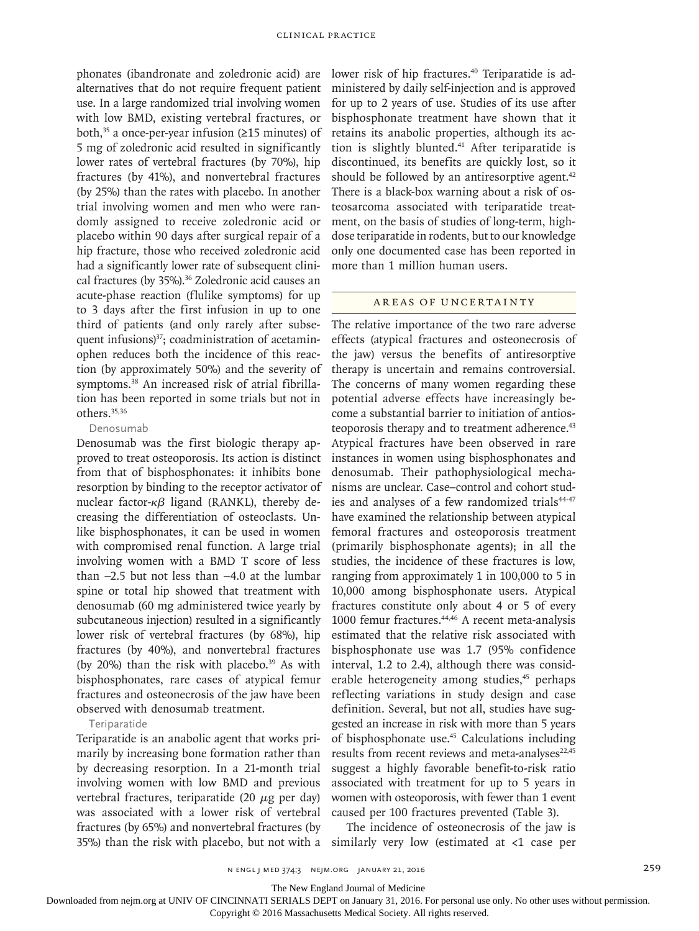phonates (ibandronate and zoledronic acid) are alternatives that do not require frequent patient use. In a large randomized trial involving women with low BMD, existing vertebral fractures, or both, $35$  a once-per-year infusion ( $\geq 15$  minutes) of 5 mg of zoledronic acid resulted in significantly lower rates of vertebral fractures (by 70%), hip fractures (by 41%), and nonvertebral fractures (by 25%) than the rates with placebo. In another trial involving women and men who were randomly assigned to receive zoledronic acid or placebo within 90 days after surgical repair of a hip fracture, those who received zoledronic acid had a significantly lower rate of subsequent clinical fractures (by 35%).<sup>36</sup> Zoledronic acid causes an acute-phase reaction (flulike symptoms) for up to 3 days after the first infusion in up to one third of patients (and only rarely after subsequent infusions $3^{37}$ ; coadministration of acetaminophen reduces both the incidence of this reaction (by approximately 50%) and the severity of symptoms.38 An increased risk of atrial fibrillation has been reported in some trials but not in others.35,36

# Denosumab

Denosumab was the first biologic therapy approved to treat osteoporosis. Its action is distinct from that of bisphosphonates: it inhibits bone resorption by binding to the receptor activator of nuclear factor-κβ ligand (RANKL), thereby decreasing the differentiation of osteoclasts. Unlike bisphosphonates, it can be used in women with compromised renal function. A large trial involving women with a BMD T score of less than −2.5 but not less than −4.0 at the lumbar spine or total hip showed that treatment with denosumab (60 mg administered twice yearly by subcutaneous injection) resulted in a significantly lower risk of vertebral fractures (by 68%), hip fractures (by 40%), and nonvertebral fractures (by 20%) than the risk with placebo.<sup>39</sup> As with bisphosphonates, rare cases of atypical femur fractures and osteonecrosis of the jaw have been observed with denosumab treatment.

# Teriparatide

Teriparatide is an anabolic agent that works primarily by increasing bone formation rather than by decreasing resorption. In a 21-month trial involving women with low BMD and previous vertebral fractures, teriparatide (20  $\mu$ g per day) was associated with a lower risk of vertebral fractures (by 65%) and nonvertebral fractures (by lower risk of hip fractures.<sup>40</sup> Teriparatide is administered by daily self-injection and is approved for up to 2 years of use. Studies of its use after bisphosphonate treatment have shown that it retains its anabolic properties, although its action is slightly blunted.<sup>41</sup> After teriparatide is discontinued, its benefits are quickly lost, so it should be followed by an antiresorptive agent. $42$ There is a black-box warning about a risk of osteosarcoma associated with teriparatide treatment, on the basis of studies of long-term, highdose teriparatide in rodents, but to our knowledge only one documented case has been reported in more than 1 million human users.

# Areas of Uncertainty

The relative importance of the two rare adverse effects (atypical fractures and osteonecrosis of the jaw) versus the benefits of antiresorptive therapy is uncertain and remains controversial. The concerns of many women regarding these potential adverse effects have increasingly become a substantial barrier to initiation of antiosteoporosis therapy and to treatment adherence.<sup>43</sup> Atypical fractures have been observed in rare instances in women using bisphosphonates and denosumab. Their pathophysiological mechanisms are unclear. Case–control and cohort studies and analyses of a few randomized trials<sup>44-47</sup> have examined the relationship between atypical femoral fractures and osteoporosis treatment (primarily bisphosphonate agents); in all the studies, the incidence of these fractures is low, ranging from approximately 1 in 100,000 to 5 in 10,000 among bisphosphonate users. Atypical fractures constitute only about 4 or 5 of every 1000 femur fractures.44,46 A recent meta-analysis estimated that the relative risk associated with bisphosphonate use was 1.7 (95% confidence interval, 1.2 to 2.4), although there was considerable heterogeneity among studies,<sup>45</sup> perhaps reflecting variations in study design and case definition. Several, but not all, studies have suggested an increase in risk with more than 5 years of bisphosphonate use.45 Calculations including results from recent reviews and meta-analyses $22,45$ suggest a highly favorable benefit-to-risk ratio associated with treatment for up to 5 years in women with osteoporosis, with fewer than 1 event caused per 100 fractures prevented (Table 3).

35%) than the risk with placebo, but not with a similarly very low (estimated at <1 case per The incidence of osteonecrosis of the jaw is

The New England Journal of Medicine

Downloaded from nejm.org at UNIV OF CINCINNATI SERIALS DEPT on January 31, 2016. For personal use only. No other uses without permission.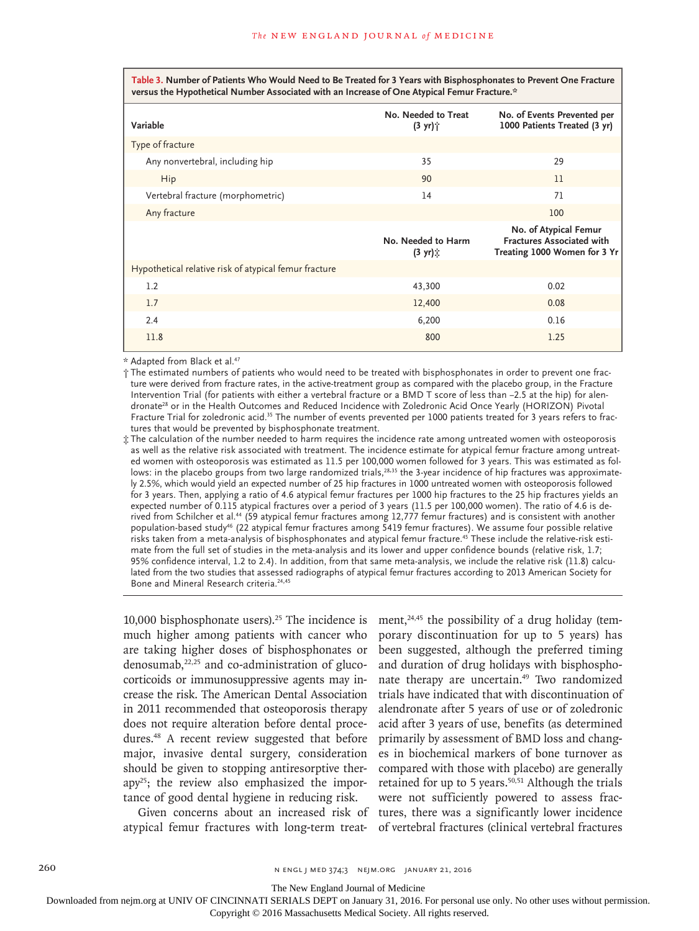**Table 3. Number of Patients Who Would Need to Be Treated for 3 Years with Bisphosphonates to Prevent One Fracture versus the Hypothetical Number Associated with an Increase of One Atypical Femur Fracture.\***

| Variable                                              | No. Needed to Treat<br>$(3 \text{ yr})$ | No. of Events Prevented per<br>1000 Patients Treated (3 yr)                               |  |
|-------------------------------------------------------|-----------------------------------------|-------------------------------------------------------------------------------------------|--|
| Type of fracture                                      |                                         |                                                                                           |  |
| Any nonvertebral, including hip                       | 35                                      | 29                                                                                        |  |
| Hip                                                   | 90                                      | 11                                                                                        |  |
| Vertebral fracture (morphometric)                     | 14                                      | 71                                                                                        |  |
| Any fracture                                          |                                         | 100                                                                                       |  |
|                                                       | No. Needed to Harm<br>$(3 \text{ yr})$  | No. of Atypical Femur<br><b>Fractures Associated with</b><br>Treating 1000 Women for 3 Yr |  |
| Hypothetical relative risk of atypical femur fracture |                                         |                                                                                           |  |
| 1.2                                                   | 43,300                                  | 0.02                                                                                      |  |
| 1.7                                                   | 12,400                                  | 0.08                                                                                      |  |
| 2.4                                                   | 6,200                                   | 0.16                                                                                      |  |
| 11.8                                                  | 800                                     | 1.25                                                                                      |  |

\* Adapted from Black et al.47

† The estimated numbers of patients who would need to be treated with bisphosphonates in order to prevent one fracture were derived from fracture rates, in the active-treatment group as compared with the placebo group, in the Fracture Intervention Trial (for patients with either a vertebral fracture or a BMD T score of less than −2.5 at the hip) for alendronate<sup>28</sup> or in the Health Outcomes and Reduced Incidence with Zoledronic Acid Once Yearly (HORIZON) Pivotal Fracture Trial for zoledronic acid.<sup>35</sup> The number of events prevented per 1000 patients treated for 3 years refers to fractures that would be prevented by bisphosphonate treatment.

‡ The calculation of the number needed to harm requires the incidence rate among untreated women with osteoporosis as well as the relative risk associated with treatment. The incidence estimate for atypical femur fracture among untreated women with osteoporosis was estimated as 11.5 per 100,000 women followed for 3 years. This was estimated as follows: in the placebo groups from two large randomized trials,<sup>28,35</sup> the 3-year incidence of hip fractures was approximately 2.5%, which would yield an expected number of 25 hip fractures in 1000 untreated women with osteoporosis followed for 3 years. Then, applying a ratio of 4.6 atypical femur fractures per 1000 hip fractures to the 25 hip fractures yields an expected number of 0.115 atypical fractures over a period of 3 years (11.5 per 100,000 women). The ratio of 4.6 is derived from Schilcher et al.44 (59 atypical femur fractures among 12,777 femur fractures) and is consistent with another population-based study46 (22 atypical femur fractures among 5419 femur fractures). We assume four possible relative risks taken from a meta-analysis of bisphosphonates and atypical femur fracture.45 These include the relative-risk estimate from the full set of studies in the meta-analysis and its lower and upper confidence bounds (relative risk, 1.7; 95% confidence interval, 1.2 to 2.4). In addition, from that same meta-analysis, we include the relative risk (11.8) calculated from the two studies that assessed radiographs of atypical femur fractures according to 2013 American Society for Bone and Mineral Research criteria.24,45

10,000 bisphosphonate users).<sup>25</sup> The incidence is much higher among patients with cancer who are taking higher doses of bisphosphonates or  $denosumab$ <sup>22,25</sup> and co-administration of glucocorticoids or immunosuppressive agents may increase the risk. The American Dental Association in 2011 recommended that osteoporosis therapy does not require alteration before dental procedures.48 A recent review suggested that before major, invasive dental surgery, consideration should be given to stopping antiresorptive therapy25; the review also emphasized the importance of good dental hygiene in reducing risk.

Given concerns about an increased risk of atypical femur fractures with long-term treatment, $24,45$  the possibility of a drug holiday (temporary discontinuation for up to 5 years) has been suggested, although the preferred timing and duration of drug holidays with bisphosphonate therapy are uncertain.<sup>49</sup> Two randomized trials have indicated that with discontinuation of alendronate after 5 years of use or of zoledronic acid after 3 years of use, benefits (as determined primarily by assessment of BMD loss and changes in biochemical markers of bone turnover as compared with those with placebo) are generally retained for up to 5 years.<sup>50,51</sup> Although the trials were not sufficiently powered to assess fractures, there was a significantly lower incidence of vertebral fractures (clinical vertebral fractures

The New England Journal of Medicine

Downloaded from nejm.org at UNIV OF CINCINNATI SERIALS DEPT on January 31, 2016. For personal use only. No other uses without permission.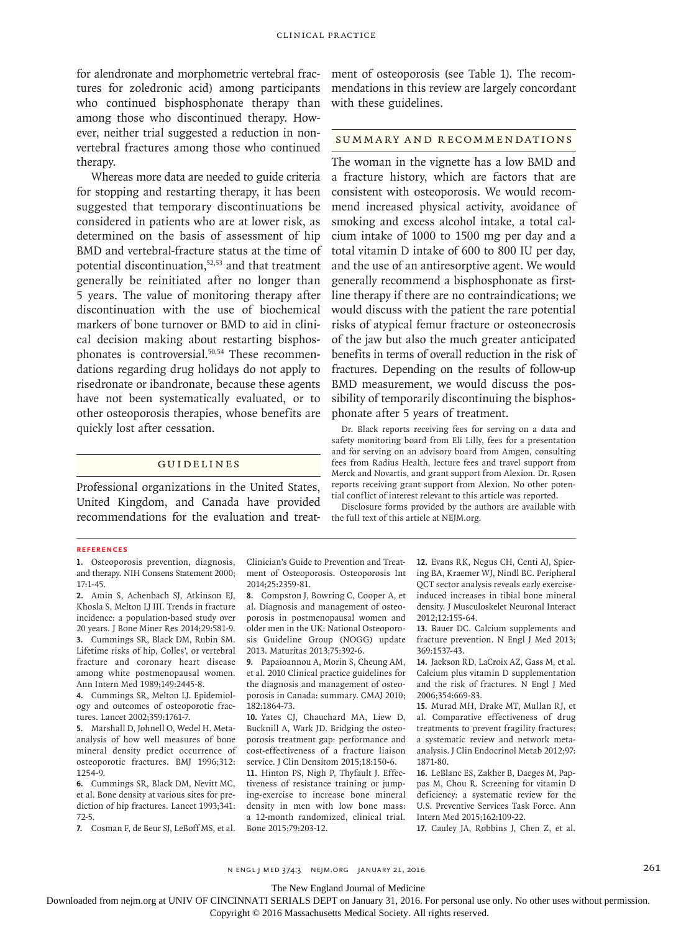for alendronate and morphometric vertebral fractures for zoledronic acid) among participants who continued bisphosphonate therapy than among those who discontinued therapy. However, neither trial suggested a reduction in nonvertebral fractures among those who continued therapy.

Whereas more data are needed to guide criteria for stopping and restarting therapy, it has been suggested that temporary discontinuations be considered in patients who are at lower risk, as determined on the basis of assessment of hip BMD and vertebral-fracture status at the time of potential discontinuation,<sup>52,53</sup> and that treatment generally be reinitiated after no longer than 5 years. The value of monitoring therapy after discontinuation with the use of biochemical markers of bone turnover or BMD to aid in clinical decision making about restarting bisphosphonates is controversial.<sup>50,54</sup> These recommendations regarding drug holidays do not apply to risedronate or ibandronate, because these agents have not been systematically evaluated, or to other osteoporosis therapies, whose benefits are quickly lost after cessation.

# Guidelines

Professional organizations in the United States, United Kingdom, and Canada have provided recommendations for the evaluation and treatment of osteoporosis (see Table 1). The recommendations in this review are largely concordant with these guidelines.

# Summary and Recommendations

The woman in the vignette has a low BMD and a fracture history, which are factors that are consistent with osteoporosis. We would recommend increased physical activity, avoidance of smoking and excess alcohol intake, a total calcium intake of 1000 to 1500 mg per day and a total vitamin D intake of 600 to 800 IU per day, and the use of an antiresorptive agent. We would generally recommend a bisphosphonate as firstline therapy if there are no contraindications; we would discuss with the patient the rare potential risks of atypical femur fracture or osteonecrosis of the jaw but also the much greater anticipated benefits in terms of overall reduction in the risk of fractures. Depending on the results of follow-up BMD measurement, we would discuss the possibility of temporarily discontinuing the bisphosphonate after 5 years of treatment.

Dr. Black reports receiving fees for serving on a data and safety monitoring board from Eli Lilly, fees for a presentation and for serving on an advisory board from Amgen, consulting fees from Radius Health, lecture fees and travel support from Merck and Novartis, and grant support from Alexion. Dr. Rosen reports receiving grant support from Alexion. No other potential conflict of interest relevant to this article was reported.

Disclosure forms provided by the authors are available with the full text of this article at NEJM.org.

### **References**

**1.** Osteoporosis prevention, diagnosis, and therapy. NIH Consens Statement 2000; 17:1-45.

**2.** Amin S, Achenbach SJ, Atkinson EJ, Khosla S, Melton LJ III. Trends in fracture incidence: a population-based study over 20 years. J Bone Miner Res 2014;29:581-9. **3.** Cummings SR, Black DM, Rubin SM. Lifetime risks of hip, Colles', or vertebral fracture and coronary heart disease among white postmenopausal women. Ann Intern Med 1989;149:2445-8.

**4.** Cummings SR, Melton LJ. Epidemiology and outcomes of osteoporotic fractures. Lancet 2002;359:1761-7.

**5.** Marshall D, Johnell O, Wedel H. Metaanalysis of how well measures of bone mineral density predict occurrence of osteoporotic fractures. BMJ 1996;312: 1254-9.

**6.** Cummings SR, Black DM, Nevitt MC, et al. Bone density at various sites for prediction of hip fractures. Lancet 1993;341: 72-5.

**7.** Cosman F, de Beur SJ, LeBoff MS, et al.

Clinician's Guide to Prevention and Treatment of Osteoporosis. Osteoporosis Int 2014;25:2359-81.

**8.** Compston J, Bowring C, Cooper A, et al. Diagnosis and management of osteoporosis in postmenopausal women and older men in the UK: National Osteoporosis Guideline Group (NOGG) update 2013. Maturitas 2013;75:392-6.

**9.** Papaioannou A, Morin S, Cheung AM, et al. 2010 Clinical practice guidelines for the diagnosis and management of osteoporosis in Canada: summary. CMAJ 2010; 182:1864-73.

**10.** Yates CJ, Chauchard MA, Liew D, Bucknill A, Wark JD. Bridging the osteoporosis treatment gap: performance and cost-effectiveness of a fracture liaison service. J Clin Densitom 2015;18:150-6.

**11.** Hinton PS, Nigh P, Thyfault J. Effectiveness of resistance training or jumping-exercise to increase bone mineral density in men with low bone mass: a 12-month randomized, clinical trial. Bone 2015;79:203-12.

**12.** Evans RK, Negus CH, Centi AJ, Spiering BA, Kraemer WJ, Nindl BC. Peripheral QCT sector analysis reveals early exerciseinduced increases in tibial bone mineral density. J Musculoskelet Neuronal Interact 2012;12:155-64.

**13.** Bauer DC. Calcium supplements and fracture prevention. N Engl J Med 2013; 369:1537-43.

**14.** Jackson RD, LaCroix AZ, Gass M, et al. Calcium plus vitamin D supplementation and the risk of fractures. N Engl J Med 2006;354:669-83.

**15.** Murad MH, Drake MT, Mullan RJ, et al. Comparative effectiveness of drug treatments to prevent fragility fractures: a systematic review and network metaanalysis. J Clin Endocrinol Metab 2012;97: 1871-80.

**16.** LeBlanc ES, Zakher B, Daeges M, Pappas M, Chou R. Screening for vitamin D deficiency: a systematic review for the U.S. Preventive Services Task Force. Ann Intern Med 2015;162:109-22.

**17.** Cauley JA, Robbins J, Chen Z, et al.

n engl j med 374;3 nejm.org January 21, 2016 261

The New England Journal of Medicine

Downloaded from nejm.org at UNIV OF CINCINNATI SERIALS DEPT on January 31, 2016. For personal use only. No other uses without permission.